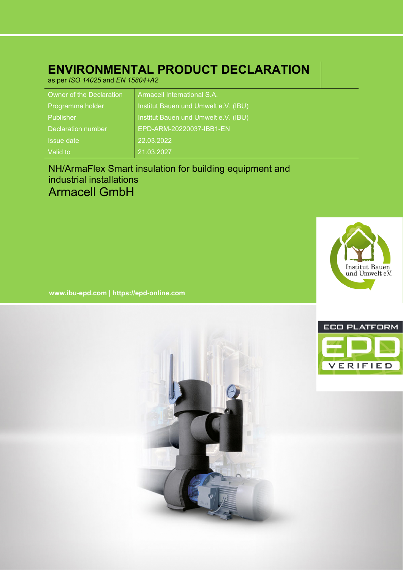# **ENVIRONMENTAL PRODUCT DECLARATION**

as per *ISO 14025* and *EN 15804+A2*

| Owner of the Declaration | <b>Armacell International S.A.</b>   |
|--------------------------|--------------------------------------|
| Programme holder         | Institut Bauen und Umwelt e.V. (IBU) |
| Publisher                | Institut Bauen und Umwelt e.V. (IBU) |
| Declaration number       | EPD-ARM-20220037-IBB1-EN             |
| <b>Issue date</b>        | 22.03.2022                           |
| Valid to                 | 21.03.2027                           |

# NH/ArmaFlex Smart insulation for building equipment and industrial installations Armacell GmbH



**www.ibu-epd.com | https://epd-online.com**



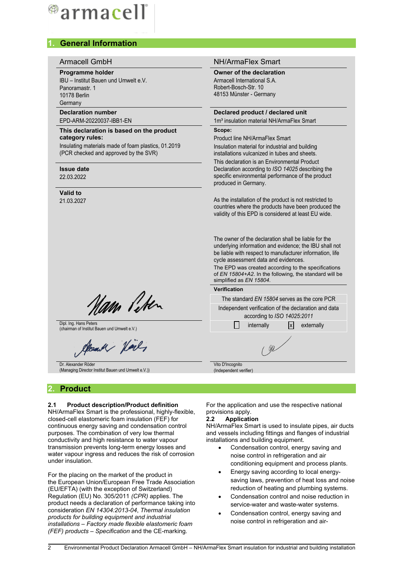# ®armacell

# **1. General Information**

# Armacell GmbH NH/ArmaFlex Smart **Programme holder Owner of the declaration** IBU – Institut Bauen und Umwelt e.V. Armacell International S.A. Robert-Bosch-Str. 10 Panoramastr. 1 48153 Münster - Germany 10178 Berlin **Germany Declaration number Declared product / declared unit** EPD-ARM-20220037-IBB1-EN 1m<sup>3</sup> insulation material NH/ArmaFlex Smart **Scope: This declaration is based on the product category rules:** Product line NH/ArmaFlex Smart Insulating materials made of foam plastics, 01.2019 Insulation material for industrial and building (PCR checked and approved by the SVR) installations vulcanized in tubes and sheets. This declaration is an Environmental Product **Issue date** 22.03.2022 produced in Germany. **Valid to** 21.03.2027 cycle assessment data and evidences. simplified as *EN 15804*. **Verification** Nam Peter Independent verification of the declaration and data according to *ISO 14025:2011* Dipl. Ing. Hans Peters Dipl. Ing. Hans Peters and Umwelt e.V.) internally internally internally internally  $\Box$  internally externally Cloudy Harly Vito D'Incognito Dr. Alexander Röder (Managing Director Institut Bauen und Umwelt e.V.)) (Independent verifier) For the application and use the respective national provisions apply. **2.2 Application** NH/ArmaFlex Smart is used to insulate pipes, air ducts and vessels including fittings and flanges of industrial installations and building equipment.

- Condensation control, energy saving and noise control in refrigeration and air conditioning equipment and process plants.
- Energy saving according to local energysaving laws, prevention of heat loss and noise reduction of heating and plumbing systems.
- Condensation control and noise reduction in service-water and waste-water systems.
- Condensation control, energy saving and noise control in refrigeration and air-

# **2. Product**

# **2.1 Product description/Product definition**

NH/ArmaFlex Smart is the professional, highly-flexible, closed-cell elastomeric foam insulation (FEF) for continuous energy saving and condensation control purposes. The combination of very low thermal conductivity and high resistance to water vapour transmission prevents long-term energy losses and water vapour ingress and reduces the risk of corrosion under insulation.

For the placing on the market of the product in the European Union/European Free Trade Association (EU/EFTA) (with the exception of Switzerland) Regulation (EU) No. 305/2011 *(CPR)* applies. The product needs a declaration of performance taking into consideration *EN 14304:2013-04*, *Thermal insulation products for building equipment and industrial installations – Factory made flexible elastomeric foam (FEF) products – Specification* and the CE-marking.

Declaration according to *ISO 14025* describing the specific environmental performance of the product

As the installation of the product is not restricted to countries where the products have been produced the validity of this EPD is considered at least EU wide.

The owner of the declaration shall be liable for the underlying information and evidence; the IBU shall not be liable with respect to manufacturer information, life

The EPD was created according to the specifications of *EN 15804+A2*. In the following, the standard will be

The standard *EN 15804* serves as the core PCR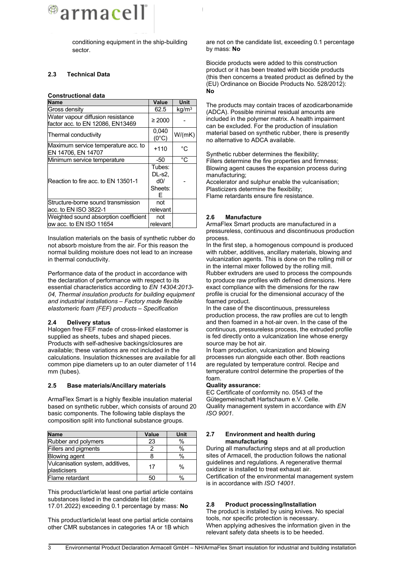

conditioning equipment in the ship-building sector.

# **2.3 Technical Data**

#### **Constructional data**

| <b>Name</b>                                                           | Value                                   | Unit              |
|-----------------------------------------------------------------------|-----------------------------------------|-------------------|
| Gross density                                                         | 62.5                                    | kg/m <sup>3</sup> |
| Water vapour diffusion resistance<br>factor acc. to EN 12086, EN13469 | $\geq 2000$                             |                   |
| Thermal conductivity                                                  | 0,040<br>$(0^{\circ}C)$                 | W/(mK)            |
| Maximum service temperature acc. to<br>EN 14706, EN 14707             | $+110$                                  | °C                |
| Minimum service temperature                                           | -50                                     | °C                |
| Reaction to fire acc. to EN 13501-1                                   | Tubes:<br>DL-s2,<br>d0/<br>Sheets:<br>F |                   |
| Structure-borne sound transmission                                    | not                                     |                   |
| lacc. to EN ISO 3822-1                                                | relevant                                |                   |
| Weighted sound absorption coefficient                                 | not                                     |                   |
| aw acc. to EN ISO 11654                                               | relevant                                |                   |

Insulation materials on the basis of synthetic rubber do not absorb moisture from the air. For this reason the normal building moisture does not lead to an increase in thermal conductivity.

Performance data of the product in accordance with the declaration of performance with respect to its essential characteristics according to *EN 14304:2013- 04, Thermal insulation products for building equipment and industrial installations – Factory made flexible elastomeric foam (FEF) products – Specification*

#### **2.4 Delivery status**

Halogen free FEF made of cross-linked elastomer is supplied as sheets, tubes and shaped pieces. Products with self-adhesive backings/closures are available; these variations are not included in the calculations. Insulation thicknesses are available for all common pipe diameters up to an outer diameter of 114 mm (tubes).

#### **2.5 Base materials/Ancillary materials**

ArmaFlex Smart is a highly flexible insulation material based on synthetic rubber, which consists of around 20 basic components. The following table displays the composition split into functional substance groups.

| <b>Name</b>                                      | Value | Unit          |
|--------------------------------------------------|-------|---------------|
| Rubber and polymers                              | 23    | $\frac{0}{0}$ |
| Fillers and pigments                             |       | $\%$          |
| <b>Blowing agent</b>                             |       | %             |
| Vulcanisation system, additives,<br>plasticisers | 17    | $\%$          |
| Flame retardant                                  | 50    |               |

This product/article/at least one partial article contains substances listed in the candidate list (date: 17.01.2022) exceeding 0.1 percentage by mass: **No**

This product/article/at least one partial article contains other CMR substances in categories 1A or 1B which

are not on the candidate list, exceeding 0.1 percentage by mass: **No**

Biocide products were added to this construction product or it has been treated with biocide products (this then concerns a treated product as defined by the (EU) Ordinance on Biocide Products No. 528/2012): **No**

The products may contain traces of azodicarbonamide (ADCA). Possible minimal residual amounts are included in the polymer matrix. A health impairment can be excluded. For the production of insulation material based on synthetic rubber, there is presently no alternative to ADCA available.

Synthetic rubber determines the flexibility; Fillers determine the fire properties and firmness; Blowing agent causes the expansion process during manufacturing;

Accelerator and sulphur enable the vulcanisation; Plasticizers determine the flexibility; Flame retardants ensure fire resistance.

# **2.6 Manufacture**

ArmaFlex Smart products are manufactured in a pressureless, continuous and discontinuous production process.

In the first step, a homogenous compound is produced with rubber, additives, ancillary materials, blowing and vulcanization agents. This is done on the rolling mill or in the internal mixer followed by the rolling mill. Rubber extruders are used to process the compounds to produce raw profiles with defined dimensions. Here exact compliance with the dimensions for the raw profile is crucial for the dimensional accuracy of the foamed product.

In the case of the discontinuous, pressureless production process, the raw profiles are cut to length and then foamed in a hot-air oven. In the case of the continuous, pressureless process, the extruded profile is fed directly onto a vulcanization line whose energy source may be hot air.

In foam production, vulcanization and blowing processes run alongside each other. Both reactions are regulated by temperature control. Recipe and temperature control determine the properties of the foam.

#### **Quality assurance:**

EC Certificate of conformity no. 0543 of the Gütegemeinschaft Hartschaum e.V. Celle. Quality management system in accordance with *EN ISO 9001*.

#### **2.7 Environment and health during manufacturing**

During all manufacturing steps and at all production sites of Armacell, the production follows the national guidelines and regulations. A regenerative thermal oxidizer is installed to treat exhaust air. Certification of the environmental management system is in accordance with *ISO 14001*.

# **2.8 Product processing/Installation**

The product is installed by using knives. No special tools, nor specific protection is necessary. When applying adhesives the information given in the relevant safety data sheets is to be heeded.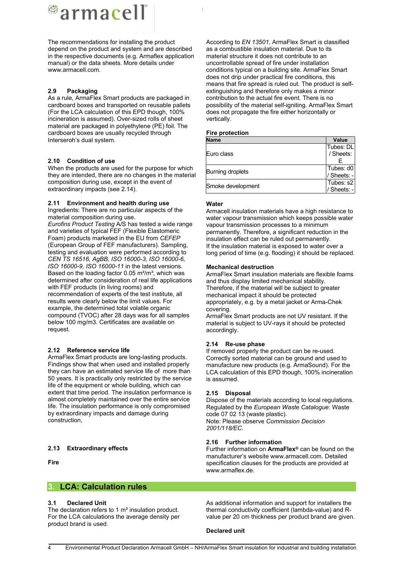# <sup>@</sup>armacell

The recommendations for installing the product depend on the product and system and are described in the respective documents (e.g. Armaflex application manual) or the data sheets. More details under www.armacell.com.

# **2.9 Packaging**

As a rule, ArmaFlex Smart products are packaged in cardboard boxes and transported on reusable pallets (For the LCA calculation of this EPD though, 100% incineration is assumed). Over-sized rolls of sheet material are packaged in polyethylene (PE) foil. The cardboard boxes are usually recycled through Interseroh's dual system.

# **2.10 Condition of use**

When the products are used for the purpose for which they are intended, there are no changes in the material composition during use, except in the event of extraordinary impacts (see 2.14).

# **2.11 Environment and health during use**

Ingredients: There are no particular aspects of the material composition during use. *Eurofins Product Testing* A/S has tested a wide range and varieties of typical FEF (Flexible Elastomeric Foam) products marketed in the EU from *CEFEP* (European Group of FEF manufacturers). Sampling, testing and evaluation were performed according to *CEN TS 16516, AgBB, ISO 16000-3, ISO 16000-6, ISO 16000-9, ISO 16000-11* in the latest versions. Based on the loading factor  $0.05 \text{ m}^2/\text{m}^3$ , which was determined after consideration of real life applications with FEF products (in living rooms) and recommendation of experts of the test institute, all

results were clearly below the limit values. For example, the determined total volatile organic compound (TVOC) after 28 days was for all samples below 100 mg/m3. Certificates are available on request.

# **2.12 Reference service life**

ArmaFlex Smart products are long-lasting products. Findings show that when used and installed properly they can have an estimated service life of more than 50 years. It is practically only restricted by the service life of the equipment or whole building, which can extent that time period. The insulation performance is almost completely maintained over the entire service life. The insulation performance is only compromised by extraordinary impacts and damage during construction,

# **2.13 Extraordinary effects**

**Fire**

# **3. LCA: Calculation rules**

# **3.1 Declared Unit**

The declaration refers to 1  $m<sup>3</sup>$  insulation product. For the LCA calculations the average density per product brand is used.

According to *EN 13501*, ArmaFlex Smart is classified as a combustible insulation material. Due to its material structure it does not contribute to an uncontrollable spread of fire under installation conditions typical on a building site. ArmaFlex Smart does not drip under practical fire conditions, this means that fire spread is ruled out. The product is selfextinguishing and therefore only makes a minor contribution to the actual fire event. There is no possibility of the material self-igniting. ArmaFlex Smart does not propagate the fire either horizontally or vertically.

#### **Fire protection**

| <b>Name</b>       | Value       |
|-------------------|-------------|
|                   | Tubes: DL   |
| Euro class        | / Sheets:   |
|                   |             |
|                   | Tubes: $d0$ |
| Burning droplets  | / Sheets: - |
|                   | Tubes: s2   |
| Smoke development | / Sheets: - |

#### **Water**

Armacell insulation materials have a high resistance to water vapour transmission which keeps possible water vapour transmission processes to a minimum permanently. Therefore, a significant reduction in the insulation effect can be ruled out permanently. If the insulation material is exposed to water over a long period of time (e.g. flooding) it should be replaced.

#### **Mechanical destruction**

ArmaFlex Smart insulation materials are flexible foams and thus display limited mechanical stability. Therefore, if the material will be subject to greater mechanical impact it should be protected appropriately, e.g. by a metal jacket or Arma-Chek covering.

ArmaFlex Smart products are not UV resistant. If the material is subject to UV-rays it should be protected accordingly.

# **2.14 Re-use phase**

If removed properly the product can be re-used. Correctly sorted material can be ground and used to manufacture new products (e.g. ArmaSound). For the LCA calculation of this EPD though, 100% incineration is assumed.

# **2.15 Disposal**

Dispose of the materials according to local regulations. Regulated by the *European Waste Catalogue*: Waste code 07 02 13 (waste plastic). Note: Please observe *Commission Decision 2001/118/EC*.

# **2.16 Further information**

Further information on **ArmaFlex®** can be found on the manufacturer's website www.armacell.com. Detailed specification clauses for the products are provided at www.armaflex.de.

As additional information and support for installers the thermal conductivity coefficient (lambda-value) and Rvalue per 20 cm thickness per product brand are given.

#### **Declared unit**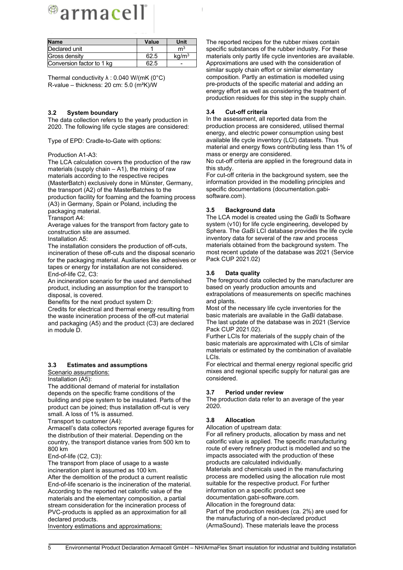# ®armacell®

| <b>Name</b>               | Value | Unit              |
|---------------------------|-------|-------------------|
| Declared unit             |       | m <sup>3</sup>    |
| Gross density             | 62.5  | kq/m <sup>3</sup> |
| Conversion factor to 1 kg | 62.5  |                   |

Thermal conductivity  $\lambda$  : 0.040 W/(mK (0°C) R-value – thickness: 20 cm: 5.0 (m²K)/W

#### **3.2 System boundary**

The data collection refers to the yearly production in 2020. The following life cycle stages are considered:

Type of EPD: Cradle-to-Gate with options:

#### Production A1-A3:

The LCA calculation covers the production of the raw materials (supply chain  $-$  A1), the mixing of raw materials according to the respective recipes (MasterBatch) exclusively done in Münster, Germany, the transport (A2) of the MasterBatches to the production facility for foaming and the foaming process (A3) in Germany, Spain or Poland, including the packaging material.

Transport A4:

Average values for the transport from factory gate to construction site are assumed.

Installation A5:

The installation considers the production of off-cuts, incineration of these off-cuts and the disposal scenario for the packaging material. Auxiliaries like adhesives or tapes or energy for installation are not considered. End-of-life C2, C3:

An incineration scenario for the used and demolished product, including an assumption for the transport to disposal, is covered.

Benefits for the next product system D:

Credits for electrical and thermal energy resulting from the waste incineration process of the off-cut material and packaging (A5) and the product (C3) are declared in module D.

# **3.3 Estimates and assumptions**

Scenario assumptions:

Installation (A5):

The additional demand of material for installation depends on the specific frame conditions of the building and pipe system to be insulated. Parts of the product can be joined; thus installation off-cut is very small. A loss of 1% is assumed.

Transport to customer (A4):

Armacell's data collectors reported average figures for the distribution of their material. Depending on the country, the transport distance varies from 500 km to 800 km

End-of-life (C2, C3):

The transport from place of usage to a waste incineration plant is assumed as 100 km.

After the demolition of the product a current realistic End-of-life scenario is the incineration of the material. According to the reported net calorific value of the materials and the elementary composition, a partial stream consideration for the incineration process of PVC-products is applied as an approximation for all declared products.

Inventory estimations and approximations:

The reported recipes for the rubber mixes contain specific substances of the rubber industry. For these materials only partly life cycle inventories are available. Approximations are used with the consideration of similar supply chain effort or similar elementary composition. Partly an estimation is modelled using pre-products of the specific material and adding an energy effort as well as considering the treatment of production residues for this step in the supply chain.

# **3.4 Cut-off criteria**

In the assessment, all reported data from the production process are considered, utilised thermal energy, and electric power consumption using best available life cycle inventory (LCI) datasets. Thus material and energy flows contributing less than 1% of mass or energy are considered.

No cut-off criteria are applied in the foreground data in this study.

For cut-off criteria in the background system, see the information provided in the modelling principles and specific documentations (documentation.gabisoftware.com).

# **3.5 Background data**

The LCA model is created using the *GaBi* ts Software system (v10) for life cycle engineering, developed by Sphera. The *GaBi* LCI database provides the life cycle inventory data for several of the raw and process materials obtained from the background system. The most recent update of the database was 2021 (Service Pack CUP 2021.02)

#### **3.6 Data quality**

The foreground data collected by the manufacturer are based on yearly production amounts and extrapolations of measurements on specific machines and plants.

Most of the necessary life cycle inventories for the basic materials are available in the *GaBi* database. The last update of the database was in 2021 (Service Pack CUP 2021.02).

Further LCIs for materials of the supply chain of the basic materials are approximated with LCIs of similar materials or estimated by the combination of available LCIs.

For electrical and thermal energy regional specific grid mixes and regional specific supply for natural gas are considered.

# **3.7 Period under review**

The production data refer to an average of the year 2020.

# **3.8 Allocation**

Allocation of upstream data:

For all refinery products, allocation by mass and net calorific value is applied. The specific manufacturing route of every refinery product is modelled and so the impacts associated with the production of these products are calculated individually.

Materials and chemicals used in the manufacturing process are modelled using the allocation rule most suitable for the respective product. For further information on a specific product see documentation.gabi-software.com.

Allocation in the foreground data:

Part of the production residues (ca. 2%) are used for the manufacturing of a non-declared product (ArmaSound). These materials leave the process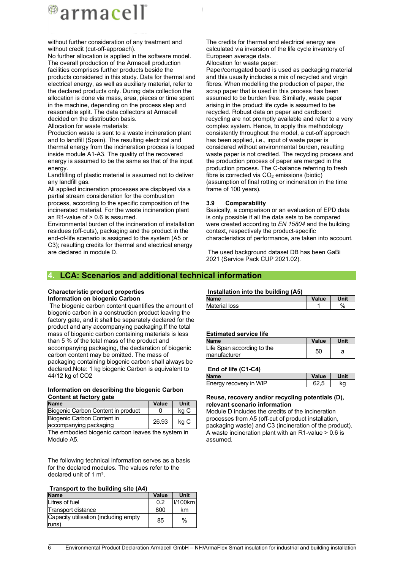

without further consideration of any treatment and without credit (cut-off-approach).

No further allocation is applied in the software model. The overall production of the Armacell production facilities comprises further products beside the products considered in this study. Data for thermal and electrical energy, as well as auxiliary material, refer to the declared products only. During data collection the allocation is done via mass, area, pieces or time spent in the machine, depending on the process step and reasonable split. The data collectors at Armacell decided on the distribution basis. Allocation for waste materials:

Production waste is sent to a waste incineration plant and to landfill (Spain). The resulting electrical and thermal energy from the incineration process is looped inside module A1-A3. The quality of the recovered energy is assumed to be the same as that of the input energy.

Landfilling of plastic material is assumed not to deliver any landfill gas.

All applied incineration processes are displayed via a partial stream consideration for the combustion process, according to the specific composition of the incinerated material. For the waste incineration plant an R1-value of > 0.6 is assumed.

Environmental burden of the incineration of installation residues (off-cuts), packaging and the product in the end-of-life scenario is assigned to the system (A5 or C3); resulting credits for thermal and electrical energy are declared in module D.

The credits for thermal and electrical energy are calculated via inversion of the life cycle inventory of European average data. Allocation for waste paper:

Paper/corrugated board is used as packaging material and this usually includes a mix of recycled and virgin fibres. When modelling the production of paper, the scrap paper that is used in this process has been assumed to be burden free. Similarly, waste paper arising in the product life cycle is assumed to be recycled. Robust data on paper and cardboard recycling are not promptly available and refer to a very complex system. Hence, to apply this methodology consistently throughout the model, a cut-off approach has been applied, i.e., input of waste paper is considered without environmental burden, resulting waste paper is not credited. The recycling process and the production process of paper are merged in the production process. The C-balance referring to fresh fibre is corrected via  $CO<sub>2</sub>$  emissions (biotic) (assumption of final rotting or incineration in the time frame of 100 years).

#### **3.9 Comparability**

Basically, a comparison or an evaluation of EPD data is only possible if all the data sets to be compared were created according to *EN 15804* and the building context, respectively the product-specific characteristics of performance, are taken into account.

The used background dataset DB has been GaBi 2021 (Service Pack CUP 2021.02).

# **4. LCA: Scenarios and additional technical information**

#### **Characteristic product properties Information on biogenic Carbon**

The biogenic carbon content quantifies the amount of biogenic carbon in a construction product leaving the factory gate, and it shall be separately declared for the product and any accompanying packaging.If the total mass of biogenic carbon containing materials is less than 5 % of the total mass of the product and accompanying packaging, the declaration of biogenic carbon content may be omitted. The mass of packaging containing biogenic carbon shall always be declared.Note: 1 kg biogenic Carbon is equivalent to 44/12 kg of CO2

#### **Information on describing the biogenic Carbon Content at factory gate**

| <b>Name</b>                        | Value | Unit |  |
|------------------------------------|-------|------|--|
| Biogenic Carbon Content in product |       | ka C |  |
| Biogenic Carbon Content in         | 26.93 | kg C |  |
| accompanying packaging             |       |      |  |

The embodied biogenic carbon leaves the system in Module A5.

The following technical information serves as a basis for the declared modules. The values refer to the declared unit of 1  $m<sup>3</sup>$ .

| Transport to the building site (A4) |  |
|-------------------------------------|--|
|-------------------------------------|--|

| <b>Name</b>                                    | Value | Unit        |
|------------------------------------------------|-------|-------------|
| Litres of fuel                                 | 0.2   | $ I/100$ km |
| Transport distance                             | 800   | km          |
| Capacity utilisation (including empty<br>runs) | 85    | $\%$        |

#### **Installation into the building (A5)**

| <b>Name</b>          | Value | Unit |
|----------------------|-------|------|
| <b>Material loss</b> |       | 0/   |

#### **Estimated service life**

| <b>Name</b>                                | Value | Unit |
|--------------------------------------------|-------|------|
| Life Span according to the<br>manufacturer | 50    |      |

# **End of life (C1-C4)**

| <b>Name</b>            | Value | Unit |
|------------------------|-------|------|
| Energy recovery in WIP |       | ٢a   |

#### **Reuse, recovery and/or recycling potentials (D), relevant scenario information**

Module D includes the credits of the incineration processes from A5 (off-cut of product installation, packaging waste) and C3 (incineration of the product). A waste incineration plant with an R1-value > 0.6 is assumed.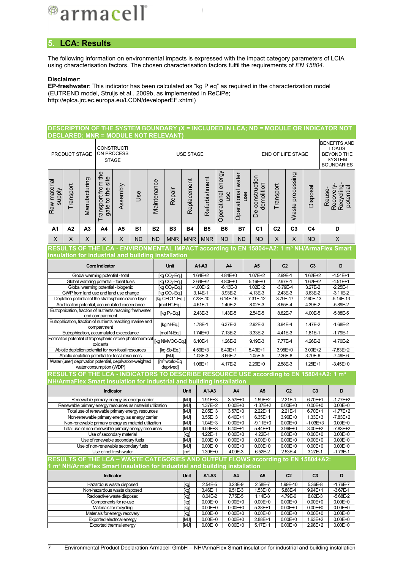<sup>@</sup>armacell

# **5. LCA: Results**

The following information on environmental impacts is expressed with the impact category parameters of LCIA using characterisation factors. The chosen characterisation factors fulfil the requirements of *EN 15804*.

#### **Disclaimer**:

**EP-freshwater**: This indicator has been calculated as "kg P eq" as required in the characterization model (EUTREND model, Struijs et al., 2009b, as implemented in ReCiPe; http://eplca.jrc.ec.europa.eu/LCDN/developerEF.xhtml)

# **DESCRIPTION OF THE SYSTEM BOUNDARY (X = INCLUDED IN LCA; ND = MODULE OR INDICATOR NOT DECLARED; MNR = MODULE NOT RELEVANT)**

|                                                                                                            | PRODUCT STAGE |                | <b>CONSTRUCTI</b><br>ON PROCESS<br><b>STAGE</b>                              |          |                                                                                                             | <b>USE STAGE</b> |                                   |              |                            |                           | END OF LIFE STAGE          | <b>BENEFITS AND</b><br><b>LOADS</b><br><b>BEYOND THE</b><br><b>SYSTEM</b><br><b>BOUNDARIES</b> |                         |                            |                         |                                                                                                        |
|------------------------------------------------------------------------------------------------------------|---------------|----------------|------------------------------------------------------------------------------|----------|-------------------------------------------------------------------------------------------------------------|------------------|-----------------------------------|--------------|----------------------------|---------------------------|----------------------------|------------------------------------------------------------------------------------------------|-------------------------|----------------------------|-------------------------|--------------------------------------------------------------------------------------------------------|
| Raw materia<br><b>Alddns</b>                                                                               | Transport     | Manufacturing  | Transport from the<br>gate to the site                                       | Assembly | Jse                                                                                                         | Maintenance      | Repair                            | Replacement  | Refurbishment              | Operational energy<br>use | Operational water<br>use   | De-construction<br>demolition                                                                  | Transport               | Waste processing           | Disposal                | Recovery-<br>Recycling<br>potential<br>Reuse-                                                          |
| A1                                                                                                         | A2            | A <sub>3</sub> | A4                                                                           | A5       | <b>B1</b>                                                                                                   | <b>B2</b>        | B <sub>3</sub>                    | <b>B4</b>    | <b>B5</b>                  | <b>B6</b>                 | <b>B7</b>                  | C <sub>1</sub>                                                                                 | C <sub>2</sub>          | C <sub>3</sub>             | C <sub>4</sub>          | D                                                                                                      |
| X                                                                                                          | X             | X              | X                                                                            | X        | <b>ND</b>                                                                                                   | <b>ND</b>        | <b>MNR</b>                        | <b>MNR</b>   | <b>MNR</b>                 | <b>ND</b>                 | <b>ND</b>                  | <b>ND</b>                                                                                      | X                       | X                          | <b>ND</b>               | $\boldsymbol{\mathsf{X}}$                                                                              |
|                                                                                                            |               |                |                                                                              |          |                                                                                                             |                  |                                   |              |                            |                           |                            |                                                                                                |                         |                            |                         | RESULTS OF THE LCA - ENVIRONMENTAL IMPACT according to EN 15804+A2: 1 m <sup>3</sup> NH/ArmaFlex Smart |
|                                                                                                            |               |                |                                                                              |          | insulation for industrial and building installation                                                         |                  |                                   |              |                            |                           |                            |                                                                                                |                         |                            |                         |                                                                                                        |
|                                                                                                            |               |                | <b>Core Indicator</b>                                                        |          |                                                                                                             |                  | <b>Unit</b>                       |              | A1-A3                      | A4                        |                            | A <sub>5</sub>                                                                                 | C <sub>2</sub>          |                            | C <sub>3</sub>          | D                                                                                                      |
|                                                                                                            |               |                | Global warming potential - total                                             |          |                                                                                                             |                  | [kg CO <sub>2</sub> -Eq.]         |              | 1.64E+2                    | 4.84E+0                   |                            | 1.07E+2                                                                                        | 2.99E-1                 |                            | $1.62E + 2$             | $-4.54E+1$                                                                                             |
|                                                                                                            |               |                | Global warming potential - fossil fuels                                      |          |                                                                                                             |                  | [kg CO <sub>2</sub> -Eq.]         |              | 2.64E+2                    | 4.80E+0                   |                            | 5.16E+0                                                                                        | 2.97E-1                 |                            | $1.62E+2$               | $-4.51E+1$                                                                                             |
|                                                                                                            |               |                | Global warming potential - biogenic<br>GWP from land use and land use change |          |                                                                                                             |                  | $[kq CO2-Eq.]$<br>[kg $CO2$ -Eq.] |              | $-1.00E + 2$<br>3.14E-1    | $-6.13E - 3$<br>3.93E-2   |                            | $1.02E + 2$<br>4.13E-3                                                                         | $-3.79E - 4$<br>2.43E-3 |                            | 3.27E-2<br>3.63E-2      | $-2.25E-1$<br>$-3.11E-2$                                                                               |
|                                                                                                            |               |                | Depletion potential of the stratospheric ozone layer                         |          |                                                                                                             |                  | [kg CFC11-Eq.]                    |              | 7.23E-10                   | 6.14E-16                  |                            | 7.31E-12                                                                                       | 3.79E-17                |                            | 2.60E-13                | $-5.14E-13$                                                                                            |
|                                                                                                            |               |                | Acidification potential, accumulated exceedance                              |          |                                                                                                             |                  | [ $mol H+-Eq.]$                   |              | 4.61E-1                    | 1.40E-2                   |                            | 8.02E-3                                                                                        | 8.65E-4                 |                            | 4.39E-2                 | $-5.89E - 2$                                                                                           |
|                                                                                                            |               |                | end compartment                                                              |          | Eutrophication, fraction of nutrients reaching freshwater                                                   |                  | [ $kgP_4-Eq$ .]                   |              | 2.43E-3                    | 1.43E-5                   |                            | 2.54E-5                                                                                        | 8.82E-7                 |                            | 4.00E-5                 | $-5.88E - 5$                                                                                           |
|                                                                                                            |               |                |                                                                              |          | Eutrophication, fraction of nutrients reaching marine end                                                   |                  | [kg N-Eq.]                        |              | 1.78E-1                    |                           | 6.37E-3                    |                                                                                                | 3.94E-4                 |                            | 1.47E-2                 | $-1.68E - 2$                                                                                           |
|                                                                                                            |               |                | compartment<br>Eutrophication, accumulated exceedance                        |          |                                                                                                             |                  | [mol N-Eq.]                       |              | $1.74E + 0$                | $7.13E-2$                 |                            | 2.92E-3<br>3.33E-2                                                                             | 4.41E-3                 |                            | $1.81E-1$               | $-1.79E-1$                                                                                             |
|                                                                                                            |               |                |                                                                              |          | Formation potential of tropospheric ozone photochemical                                                     |                  | [kg NMVOC-Eq.]                    |              | 6.10E-1                    | 1.26E-2                   |                            | 9.19E-3                                                                                        | 7.77E-4                 |                            | 4.26E-2                 | $-4.70E - 2$                                                                                           |
|                                                                                                            |               |                | oxidants<br>Abiotic depletion potential for non-fossil resources             |          |                                                                                                             |                  | [kg Sb-Eq.]                       |              | 4.59E+3                    | 6.40E+1                   |                            | 5.43E+1                                                                                        | 3.95E+0                 |                            | 3.00E+2                 | $-7.83E+2$                                                                                             |
|                                                                                                            |               |                | Abiotic depletion potential for fossil resources                             |          |                                                                                                             |                  | $1.03E - 3$<br>[MJ]               |              | 3.66E-7                    |                           | 1.05E-5                    | 2.26E-8                                                                                        |                         | 3.70E-6                    | $-7.49E - 6$            |                                                                                                        |
|                                                                                                            |               |                |                                                                              |          | Water (user) deprivation potential, deprivation-weighted                                                    |                  | $[m3$ world-Eq                    |              | 1.06E+1                    | 4.17E-2                   |                            | 2.26E+0                                                                                        | 2.58E-3                 |                            | $1.25E + 1$             | $-3.45E + 0$                                                                                           |
|                                                                                                            |               |                | water consumption (WDP)                                                      |          |                                                                                                             |                  | deprived]                         |              |                            |                           |                            |                                                                                                |                         |                            |                         | RESULTS OF THE LCA - INDICATORS TO DESCRIBE RESOURCE USE according to EN 15804+A2: 1 m <sup>3</sup>    |
|                                                                                                            |               |                |                                                                              |          | NH/ArmaFlex Smart insulation for industrial and building installation                                       |                  |                                   |              |                            |                           |                            |                                                                                                |                         |                            |                         |                                                                                                        |
|                                                                                                            |               |                | Indicator                                                                    |          |                                                                                                             |                  |                                   | Unit         | A1-A3                      |                           | A4                         | A <sub>5</sub>                                                                                 |                         | C <sub>2</sub>             | C <sub>3</sub>          | D                                                                                                      |
|                                                                                                            |               |                |                                                                              |          | Renewable primary energy as energy carrier                                                                  |                  |                                   | <b>IMJ</b>   | $1.91E + 3$                |                           | 3.57E+0                    | 1.59E+2                                                                                        |                         | 2.21E-1                    | $6.70E+1$               | $-1.77E+2$                                                                                             |
|                                                                                                            |               |                |                                                                              |          | Renewable primary energy resources as material utilization                                                  |                  |                                   | [MJ]         | 1.37E+2                    |                           | $0.00E + 0$                | $-1.37E+2$                                                                                     |                         | $0.00E + 0$                | $0.00E + 0$             | $0.00E + 0$                                                                                            |
|                                                                                                            |               |                |                                                                              |          | Total use of renewable primary energy resources                                                             |                  |                                   | [MJ]         | $2.05E + 3$                |                           | $3.57E + 0$                | $2.22E+1$                                                                                      |                         | $2.21E-1$                  | $6.70E+1$               | $-1.77E+2$                                                                                             |
|                                                                                                            |               |                |                                                                              |          | Non-renewable primary energy as energy carrier                                                              |                  |                                   | [MJ]         | 3.55E+3                    |                           | 6.40E+1                    | $6.35E+1$                                                                                      |                         | 3.96E+0                    | $1.33E + 3$             | $-7.83E+2$                                                                                             |
|                                                                                                            |               |                |                                                                              |          | Non-renewable primary energy as material utilization<br>Total use of non-renewable primary energy resources |                  |                                   | [MJ]         | 1.04E+3                    |                           | $0.00E + 0$                | $-9.11E + 0$                                                                                   |                         | $0.00E + 0$<br>3.96E+0     | $-1.03E + 3$<br>3.00E+2 | $0.00E + 0$                                                                                            |
|                                                                                                            |               |                | Use of secondary material                                                    |          |                                                                                                             |                  |                                   | [MJ]<br>[kg] | 4.59E+3<br>4.22E+1         |                           | 6.40E+1<br>$0.00E + 0$     | 5.44E+1<br>4.22E-1                                                                             |                         | $0.00E + 0$                | $0.00E + 0$             | $-7.83E+2$<br>$0.00E + 0$                                                                              |
|                                                                                                            |               |                | Use of renewable secondary fuels                                             |          |                                                                                                             |                  |                                   | [MJ]         | $0.00E + 0$                |                           | $0.00E + 0$                | $0.00E + 0$                                                                                    |                         | $0.00E + 0$                | $0.00E + 0$             | $0.00E + 0$                                                                                            |
|                                                                                                            |               |                |                                                                              |          | Use of non-renewable secondary fuels                                                                        |                  |                                   | [MJ]         | $0.00E + 0$                |                           | $0.00E + 0$                | $0.00E + 0$                                                                                    |                         | $0.00E + 0$                | $0.00E + 0$             | $0.00E + 0$                                                                                            |
| Use of net fresh water<br>RESULTS OF THE LCA - WASTE CATEGORIES AND OUTPUT FLOWS according to EN 15804+A2: |               |                |                                                                              |          |                                                                                                             |                  |                                   | [mª]         | $1.39E + 0$                |                           | 4.09E-3                    | 6.52E-2                                                                                        |                         | 2.53E-4                    | 3.27E-1                 | $-1.73E-1$                                                                                             |
|                                                                                                            |               |                |                                                                              |          |                                                                                                             |                  |                                   |              |                            |                           |                            |                                                                                                |                         |                            |                         |                                                                                                        |
| 1 m <sup>3</sup> NH/ArmaFlex Smart insulation for industrial and building installation                     |               |                |                                                                              |          |                                                                                                             |                  |                                   |              |                            |                           |                            |                                                                                                |                         |                            |                         |                                                                                                        |
| Indicator                                                                                                  |               |                |                                                                              |          |                                                                                                             |                  | Unit                              | A1-A3        |                            | A4                        | A <sub>5</sub>             |                                                                                                | C <sub>2</sub>          | C <sub>3</sub>             | D                       |                                                                                                        |
| Hazardous waste disposed<br>Non-hazardous waste disposed                                                   |               |                |                                                                              |          |                                                                                                             |                  |                                   | [kg]         | 2.54E-5                    |                           | 3.23E-9                    | 2.58E-7                                                                                        |                         | 1.99E-10                   | 5.36E-8<br>9.94E+1      | $-1.76E - 7$                                                                                           |
|                                                                                                            |               |                | Radioactive waste disposed                                                   |          |                                                                                                             |                  |                                   | [kg]<br>[kg] | 3.46E+1<br>8.04E-2         |                           | 9.51E-3<br>7.75E-5         | 1.53E+0<br>1.14E-3                                                                             |                         | 5.88E-4<br>4.79E-6         | 8.82E-3                 | $-3.67E-1$<br>$-5.68E - 2$                                                                             |
|                                                                                                            |               |                | Components for re-use                                                        |          |                                                                                                             |                  |                                   | [kg]         | $0.00E + 0$                |                           | $0.00E + 0$                | $0.00E + 0$                                                                                    |                         | $0.00E + 0$                | $0.00E + 0$             | $0.00E + 0$                                                                                            |
|                                                                                                            |               |                | Materials for recycling                                                      |          |                                                                                                             |                  |                                   | [kg]         | $0.00E + 0$                |                           | $0.00E + 0$                | 5.38E+1                                                                                        |                         | $0.00E + 0$                | $0.00E + 0$             | $0.00E + 0$                                                                                            |
|                                                                                                            |               |                | Materials for energy recovery                                                |          |                                                                                                             |                  |                                   | [kg]<br>[MJ] | $0.00E + 0$                |                           | $0.00E + 0$                | $0.00E + 0$                                                                                    |                         | $0.00E + 0$                | $0.00E + 0$             | $0.00E + 0$                                                                                            |
| Exported electrical energy<br>Exported thermal energy                                                      |               |                |                                                                              |          |                                                                                                             |                  |                                   |              | $0.00E + 0$<br>$0.00E + 0$ |                           | $0.00E + 0$<br>$0.00E + 0$ | 2.88E+1<br>$5.17E+1$                                                                           |                         | $0.00E + 0$<br>$0.00E + 0$ | 1.63E+2<br>2.98E+2      | $0.00E + 0$<br>$0.00E + 0$                                                                             |

Exported thermal energy **EXPORTED 10.00E+0** 0.00E+0 5.17E+1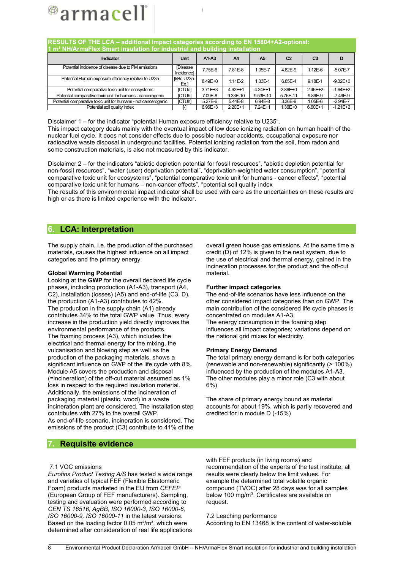

| RESULTS OF THE LCA - additional impact categories according to EN 15804+A2-optional:<br>$1\ \text{m}^3$ NH/ArmaFlex Smart insulation for industrial and building installation |                              |             |           |                |                |                |              |  |  |
|-------------------------------------------------------------------------------------------------------------------------------------------------------------------------------|------------------------------|-------------|-----------|----------------|----------------|----------------|--------------|--|--|
| Indicator                                                                                                                                                                     | Unit                         | $A1-A3$     | A4        | A <sub>5</sub> | C <sub>2</sub> | C <sub>3</sub> | D            |  |  |
| Potential incidence of disease due to PM emissions                                                                                                                            | <b>Disease</b><br>Incidencel | 7.75E-6     | 7.81E-8   | 1.05E-7        | 4.82E-9        | $1.12E - 6$    | $-5.07E - 7$ |  |  |
| Potential Human exposure efficiency relative to U235                                                                                                                          | [kBq U235-<br>Eq.]           | $8.49E + 0$ | $1.11E-2$ | 1.33E-1        | 6.85E-4        | 9.18E-1        | $-9.32E + 0$ |  |  |
| Potential comparative toxic unit for ecosystems                                                                                                                               | <b>ICTUel</b>                | $3.71E + 3$ | 4.62E+1   | 4.24E+1        | $2.86E + 0$    | 2.46E+2        | $-1.64E+2$   |  |  |
| Potential comparative toxic unit for humans - cancerogenic                                                                                                                    | <b>ICTUhl</b>                | 7.09E-8     | 9.33E-10  | 9.53E-10       | 5.76E-11       | 9.86E-9        | $-7.46E-9$   |  |  |
| Potential comparative toxic unit for humans - not cancerogenic                                                                                                                | <b>ICTUhl</b>                | 5.27E-6     | 5.44E-8   | 6.94E-8        | 3.36E-9        | 1.05E-6        | $-2.94E - 7$ |  |  |
| Potential soil quality index                                                                                                                                                  |                              | $6.96E + 3$ | 2.20E+1   | 7.24E+1        | $1.36E + 0$    | 6.60E+1        | $-1.21E+2$   |  |  |

Disclaimer 1 – for the indicator "potential Human exposure efficiency relative to U235". This impact category deals mainly with the eventual impact of low dose ionizing radiation on human health of the nuclear fuel cycle. It does not consider effects due to possible nuclear accidents, occupational exposure nor radioactive waste disposal in underground facilities. Potential ionizing radiation from the soil, from radon and some construction materials, is also not measured by this indicator.

Disclaimer 2 – for the indicators "abiotic depletion potential for fossil resources", "abiotic depletion potential for non-fossil resources", "water (user) deprivation potential", "deprivation-weighted water consumption", "potential comparative toxic unit for ecosystems", "potential comparative toxic unit for humans - cancer effects", "potential comparative toxic unit for humans – non-cancer effects", "potential soil quality index

The results of this environmental impact indicator shall be used with care as the uncertainties on these results are high or as there is limited experience with the indicator.

# **6. LCA: Interpretation**

The supply chain, i.e. the production of the purchased materials, causes the highest influence on all impact categories and the primary energy.

#### **Global Warming Potential**

Looking at the **GWP** for the overall declared life cycle phases, including production (A1-A3), transport (A4, C2), installation (losses) (A5) and end-of-life (C3, D), the production (A1-A3) contributes to 42%. The production in the supply chain (A1) already contributes 34% to the total GWP value. Thus, every increase in the production yield directly improves the environmental performance of the products. The foaming process (A3), which includes the electrical and thermal energy for the mixing, the vulcanisation and blowing step as well as the production of the packaging materials, shows a significant influence on GWP of the life cycle with 8%. Module A5 covers the production and disposal (=incineration) of the off-cut material assumed as 1% loss in respect to the required insulation material. Additionally, the emissions of the incineration of packaging material (plastic, wood) in a waste incineration plant are considered. The installation step contributes with 27% to the overall GWP. As end-of-life scenario, incineration is considered. The emissions of the product (C3) contribute to 41% of the

overall green house gas emissions. At the same time a credit (D) of 12% is given to the next system, due to the use of electrical and thermal energy, gained in the incineration processes for the product and the off-cut material.

#### **Further impact categories**

The end-of-life scenarios have less influence on the other considered impact categories than on GWP. The main contribution of the considered life cycle phases is concentrated on modules A1-A3. The energy consumption in the foaming step influences all impact categories; variations depend on the national grid mixes for electricity.

#### **Primary Energy Demand**

The total primary energy demand is for both categories (renewable and non-renewable) significantly (> 100%) influenced by the production of the modules A1-A3. The other modules play a minor role (C3 with about 6%)

The share of primary energy bound as material accounts for about 19%, which is partly recovered and credited for in module D (-15%)

# **7. Requisite evidence**

#### 7.1 VOC emissions

*Eurofins Product Testing A/S* has tested a wide range and varieties of typical FEF (Flexible Elastomeric Foam) products marketed in the EU from *CEFEP* (European Group of FEF manufacturers). Sampling, testing and evaluation were performed according to *CEN TS 16516, AgBB, ISO 16000-3, ISO 16000-6, ISO 16000-9, ISO 16000-11* in the latest versions. Based on the loading factor  $0.05 \text{ m}^2/\text{m}^3$ , which were determined after consideration of real life applications with FEF products (in living rooms) and recommendation of the experts of the test institute, all results were clearly below the limit values. For example the determined total volatile organic compound (TVOC) after 28 days was for all samples below 100 mg/m<sup>3</sup>. Certificates are available on request.

7.2 Leaching performance According to EN 13468 is the content of water-soluble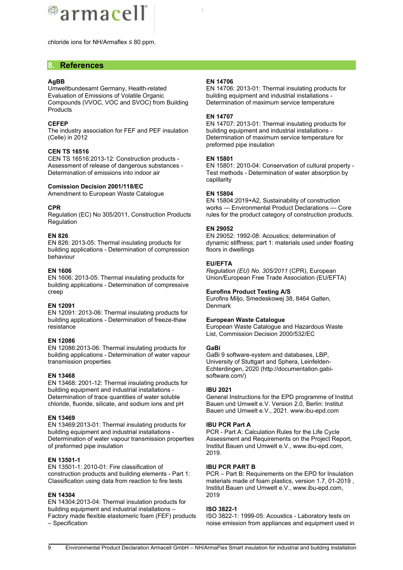

chloride ions for NH/Armaflex ≤ 80 ppm.

# **8. References**

#### **AgBB**

Umweltbundesamt Germany, Health-related Evaluation of Emissions of Volatile Organic Compounds (VVOC, VOC and SVOC) from Building **Products** 

#### **CEFEP**

The industry association for FEF and PEF insulation (Celle) in 2012

#### **CEN TS 16516**

CEN TS 16516:2013-12: Construction products - Assessment of release of dangerous substances - Determination of emissions into indoor air

#### **Comission Decision 2001/118/EC**

Amendment to European Waste Catalogue

#### **CPR**

Regulation (EC) No 305/2011, Construction Products Regulation

#### **EN 826**

EN 826: 2013-05: Thermal insulating products for building applications - Determination of compression behaviour

#### **EN 1606**

EN 1606: 2013-05: Thermal insulating products for building applications - Determination of compressive creep

#### **EN 12091**

EN 12091: 2013-06: Thermal insulating products for building applications - Determination of freeze-thaw resistance

#### **EN 12086**

EN 12086:2013-06: Thermal insulating products for building applications - Determination of water vapour transmission properties

#### **EN 13468**

EN 13468: 2001-12: Thermal insulating products for building equipment and industrial installations - Determination of trace quantities of water soluble chloride, fluoride, silicate, and sodium ions and pH

#### **EN 13469**

EN 13469:2013-01: Thermal insulating products for building equipment and industrial installations - Determination of water vapour transmission properties of preformed pipe insulation

#### **EN 13501-1**

EN 13501-1: 2010-01: Fire classification of construction products and building elements - Part 1: Classification using data from reaction to fire tests

#### **EN 14304**

EN 14304:2013-04: Thermal insulation products for building equipment and industrial installations – Factory made flexible elastomeric foam (FEF) products – Specification

#### **EN 14706**

EN 14706: 2013-01: Thermal insulating products for building equipment and industrial installations - Determination of maximum service temperature

#### **EN 14707**

EN 14707: 2013-01: Thermal insulating products for building equipment and industrial installations - Determination of maximum service temperature for preformed pipe insulation

#### **EN 15801**

EN 15801: 2010-04: Conservation of cultural property - Test methods - Determination of water absorption by capillarity

#### **EN 15804**

EN 15804:2019+A2, Sustainability of construction works — Environmental Product Declarations — Core rules for the product category of construction products.

#### **EN 29052**

EN 29052: 1992-08: Acoustics; determination of dynamic stiffness; part 1: materials used under floating floors in dwellings

#### **EU/EFTA**

*Regulation (EU) No. 305/2011* (CPR), European Union/European Free Trade Association (EU/EFTA)

#### **Eurofins Product Testing A/S**

Eurofins Miljo, Smedeskowej 38, 8464 Galten, **Denmark** 

#### **European Waste Catalogue**

European Waste Catalogue and Hazardous Waste List, Commission Decision 2000/532/EC

#### **GaBi**

GaBi 9 software-system and databases, LBP, University of Stuttgart and Sphera, Leinfelden-Echterdingen, 2020 (http://documentation.gabisoftware.com/)

#### **IBU 2021**

General Instructions for the EPD programme of Institut Bauen und Umwelt e.V. Version 2.0, Berlin: Institut Bauen und Umwelt e.V., 2021. www.ibu-epd.com

#### **IBU PCR Part A**

PCR - Part A: Calculation Rules for the Life Cycle Assessment and Requirements on the Project Report, Institut Bauen und Umwelt e.V., www.ibu-epd.com, 2019.

#### **IBU PCR PART B**

PCR – Part B: Requirements on the EPD for Insulation materials made of foam plastics, version 1.7, 01-2019 , Institut Bauen und Umwelt e.V., www.ibu-epd.com, 2019

#### **ISO 3822-1**

ISO 3822-1: 1999-05: Acoustics - Laboratory tests on noise emission from appliances and equipment used in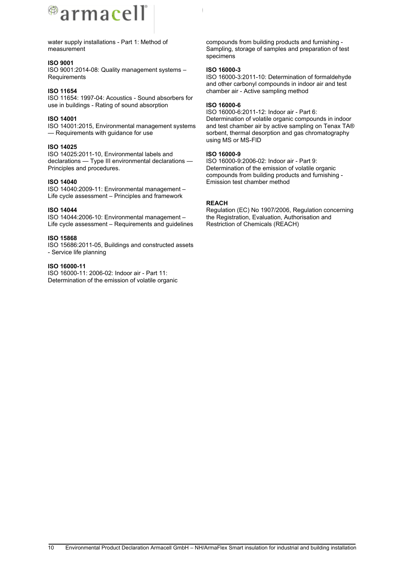

water supply installations - Part 1: Method of measurement

#### **ISO 9001**

ISO 9001:2014-08: Quality management systems – **Requirements** 

#### **ISO 11654**

ISO 11654: 1997-04: Acoustics - Sound absorbers for use in buildings - Rating of sound absorption

#### **ISO 14001**

ISO 14001:2015, Environmental management systems — Requirements with guidance for use

#### **ISO 14025**

ISO 14025:2011-10, Environmental labels and declarations — Type III environmental declarations — Principles and procedures.

#### **ISO 14040**

ISO 14040:2009-11: Environmental management – Life cycle assessment – Principles and framework

#### **ISO 14044**

ISO 14044:2006-10: Environmental management – Life cycle assessment – Requirements and guidelines

#### **ISO 15868**

ISO 15686:2011-05, Buildings and constructed assets - Service life planning

#### **ISO 16000-11**

ISO 16000-11: 2006-02: Indoor air - Part 11: Determination of the emission of volatile organic

compounds from building products and furnishing - Sampling, storage of samples and preparation of test specimens

#### **ISO 16000-3**

ISO 16000-3:2011-10: Determination of formaldehyde and other carbonyl compounds in indoor air and test chamber air - Active sampling method

#### **ISO 16000-6**

ISO 16000-6:2011-12: Indoor air - Part 6: Determination of volatile organic compounds in indoor and test chamber air by active sampling on Tenax TA® sorbent, thermal desorption and gas chromatography using MS or MS-FID

#### **ISO 16000-9**

ISO 16000-9:2006-02: Indoor air - Part 9: Determination of the emission of volatile organic compounds from building products and furnishing - Emission test chamber method

#### **REACH**

Regulation (EC) No 1907/2006, Regulation concerning the Registration, Evaluation, Authorisation and Restriction of Chemicals (REACH)